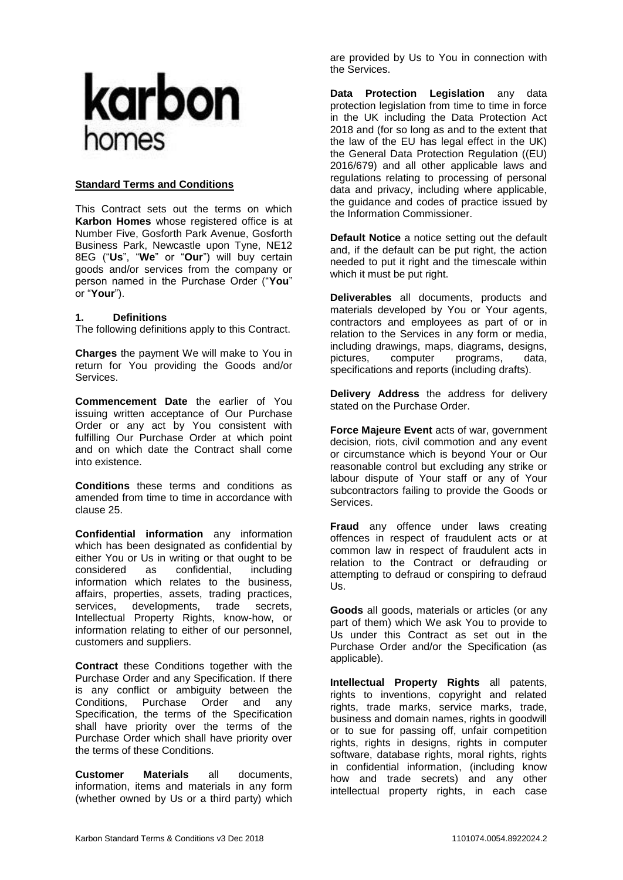

#### **Standard Terms and Conditions**

This Contract sets out the terms on which **Karbon Homes** whose registered office is at Number Five, Gosforth Park Avenue, Gosforth Business Park, Newcastle upon Tyne, NE12 8EG ("**Us**", "**We**" or "**Our**") will buy certain goods and/or services from the company or person named in the Purchase Order ("**You**" or "**Your**").

#### **1. Definitions**

The following definitions apply to this Contract.

**Charges** the payment We will make to You in return for You providing the Goods and/or Services.

**Commencement Date** the earlier of You issuing written acceptance of Our Purchase Order or any act by You consistent with fulfilling Our Purchase Order at which point and on which date the Contract shall come into existence.

**Conditions** these terms and conditions as amended from time to time in accordance with clause [25.](#page-9-0)

**Confidential information** any information which has been designated as confidential by either You or Us in writing or that ought to be considered as confidential. including considered as confidential, including information which relates to the business, affairs, properties, assets, trading practices, services, developments, trade secrets, Intellectual Property Rights, know-how, or information relating to either of our personnel, customers and suppliers.

**Contract** these Conditions together with the Purchase Order and any Specification. If there is any conflict or ambiguity between the Conditions, Purchase Order and any Specification, the terms of the Specification shall have priority over the terms of the Purchase Order which shall have priority over the terms of these Conditions.

**Customer Materials** all documents, information, items and materials in any form (whether owned by Us or a third party) which are provided by Us to You in connection with the Services.

**Data Protection Legislation** any data protection legislation from time to time in force in the UK including the Data Protection Act 2018 and (for so long as and to the extent that the law of the EU has legal effect in the UK) the General Data Protection Regulation ((EU) 2016/679) and all other applicable laws and regulations relating to processing of personal data and privacy, including where applicable, the guidance and codes of practice issued by the Information Commissioner.

**Default Notice** a notice setting out the default and, if the default can be put right, the action needed to put it right and the timescale within which it must be put right.

**Deliverables** all documents, products and materials developed by You or Your agents, contractors and employees as part of or in relation to the Services in any form or media, including drawings, maps, diagrams, designs, pictures, computer programs, data, specifications and reports (including drafts).

**Delivery Address** the address for delivery stated on the Purchase Order.

**Force Majeure Event** acts of war, government decision, riots, civil commotion and any event or circumstance which is beyond Your or Our reasonable control but excluding any strike or labour dispute of Your staff or any of Your subcontractors failing to provide the Goods or Services.

**Fraud** any offence under laws creating offences in respect of fraudulent acts or at common law in respect of fraudulent acts in relation to the Contract or defrauding or attempting to defraud or conspiring to defraud Us.

**Goods** all goods, materials or articles (or any part of them) which We ask You to provide to Us under this Contract as set out in the Purchase Order and/or the Specification (as applicable).

**Intellectual Property Rights** all patents, rights to inventions, copyright and related rights, trade marks, service marks, trade, business and domain names, rights in goodwill or to sue for passing off, unfair competition rights, rights in designs, rights in computer software, database rights, moral rights, rights in confidential information, (including know how and trade secrets) and any other intellectual property rights, in each case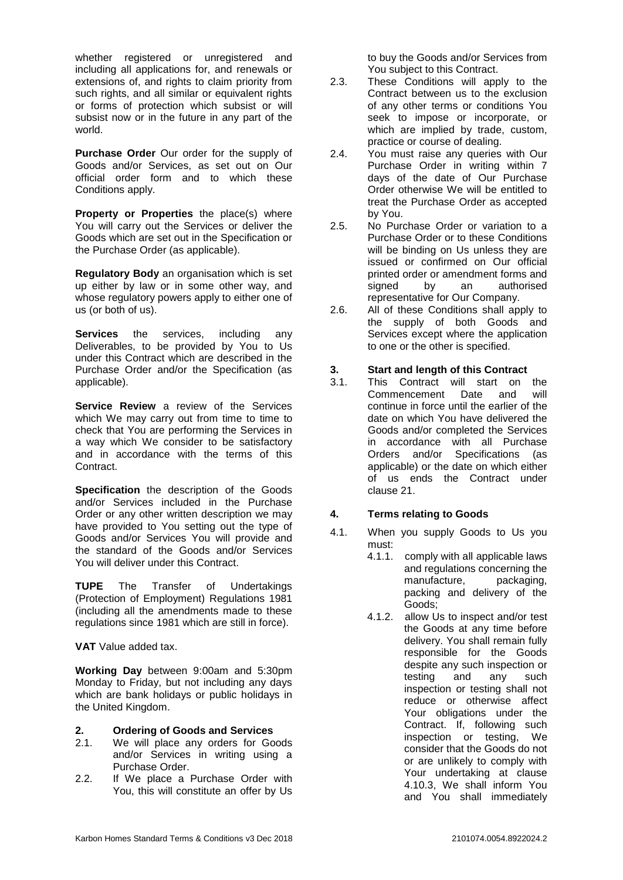whether registered or unregistered and including all applications for, and renewals or extensions of, and rights to claim priority from such rights, and all similar or equivalent rights or forms of protection which subsist or will subsist now or in the future in any part of the world.

**Purchase Order** Our order for the supply of Goods and/or Services, as set out on Our official order form and to which these Conditions apply.

**Property or Properties** the place(s) where You will carry out the Services or deliver the Goods which are set out in the Specification or the Purchase Order (as applicable).

**Regulatory Body** an organisation which is set up either by law or in some other way, and whose regulatory powers apply to either one of us (or both of us).

**Services** the services, including any Deliverables, to be provided by You to Us under this Contract which are described in the Purchase Order and/or the Specification (as applicable).

**Service Review** a review of the Services which We may carry out from time to time to check that You are performing the Services in a way which We consider to be satisfactory and in accordance with the terms of this Contract.

**Specification** the description of the Goods and/or Services included in the Purchase Order or any other written description we may have provided to You setting out the type of Goods and/or Services You will provide and the standard of the Goods and/or Services You will deliver under this Contract.

**TUPE** The Transfer of Undertakings (Protection of Employment) Regulations 1981 (including all the amendments made to these regulations since 1981 which are still in force).

**VAT** Value added tax.

**Working Day** between 9:00am and 5:30pm Monday to Friday, but not including any days which are bank holidays or public holidays in the United Kingdom.

## **2. Ordering of Goods and Services**

- 2.1. We will place any orders for Goods and/or Services in writing using a Purchase Order.
- 2.2. If We place a Purchase Order with You, this will constitute an offer by Us

to buy the Goods and/or Services from You subject to this Contract.

- 2.3. These Conditions will apply to the Contract between us to the exclusion of any other terms or conditions You seek to impose or incorporate, or which are implied by trade, custom, practice or course of dealing.
- 2.4. You must raise any queries with Our Purchase Order in writing within 7 days of the date of Our Purchase Order otherwise We will be entitled to treat the Purchase Order as accepted by You.
- 2.5. No Purchase Order or variation to a Purchase Order or to these Conditions will be binding on Us unless they are issued or confirmed on Our official printed order or amendment forms and signed by an authorised representative for Our Company.
- 2.6. All of these Conditions shall apply to the supply of both Goods and Services except where the application to one or the other is specified.

## **3. Start and length of this Contract**

3.1. This Contract will start on the Commencement Date and will continue in force until the earlier of the date on which You have delivered the Goods and/or completed the Services in accordance with all Purchase Orders and/or Specifications (as applicable) or the date on which either of us ends the Contract under clause [21.](#page-7-0)

## **4. Terms relating to Goods**

- 4.1. When you supply Goods to Us you must:
	- 4.1.1. comply with all applicable laws and regulations concerning the manufacture, packaging, packing and delivery of the Goods;
	- 4.1.2. allow Us to inspect and/or test the Goods at any time before delivery. You shall remain fully responsible for the Goods despite any such inspection or testing and any such inspection or testing shall not reduce or otherwise affect Your obligations under the Contract. If, following such inspection or testing, We consider that the Goods do not or are unlikely to comply with Your undertaking at clause [4.10.3,](#page-2-0) We shall inform You and You shall immediately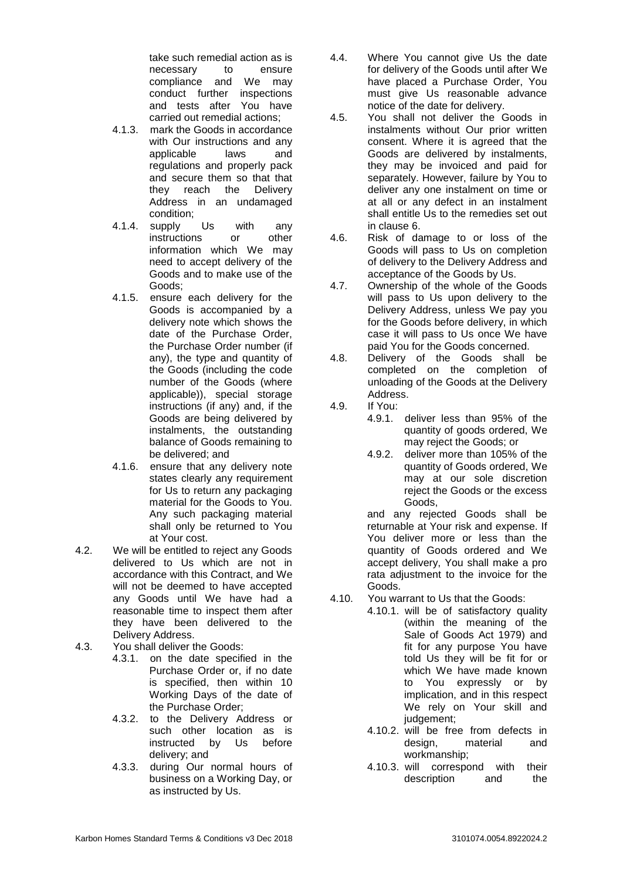take such remedial action as is necessary to ensure compliance and We may conduct further inspections and tests after You have carried out remedial actions;

- 4.1.3. mark the Goods in accordance with Our instructions and any applicable laws and regulations and properly pack and secure them so that that they reach the Delivery Address in an undamaged condition;
- 4.1.4. supply Us with any instructions or other information which We may need to accept delivery of the Goods and to make use of the Goods;
- 4.1.5. ensure each delivery for the Goods is accompanied by a delivery note which shows the date of the Purchase Order, the Purchase Order number (if any), the type and quantity of the Goods (including the code number of the Goods (where applicable)), special storage instructions (if any) and, if the Goods are being delivered by instalments, the outstanding balance of Goods remaining to be delivered; and
- 4.1.6. ensure that any delivery note states clearly any requirement for Us to return any packaging material for the Goods to You. Any such packaging material shall only be returned to You at Your cost.
- 4.2. We will be entitled to reject any Goods delivered to Us which are not in accordance with this Contract, and We will not be deemed to have accepted any Goods until We have had a reasonable time to inspect them after they have been delivered to the Delivery Address.
- 4.3. You shall deliver the Goods:
	- 4.3.1. on the date specified in the Purchase Order or, if no date is specified, then within 10 Working Days of the date of the Purchase Order;
	- 4.3.2. to the Delivery Address or such other location as is instructed by Us before delivery; and
	- 4.3.3. during Our normal hours of business on a Working Day, or as instructed by Us.
- 4.4. Where You cannot give Us the date for delivery of the Goods until after We have placed a Purchase Order, You must give Us reasonable advance notice of the date for delivery.
- 4.5. You shall not deliver the Goods in instalments without Our prior written consent. Where it is agreed that the Goods are delivered by instalments, they may be invoiced and paid for separately. However, failure by You to deliver any one instalment on time or at all or any defect in an instalment shall entitle Us to the remedies set out in clause [6.](#page-3-0)
- 4.6. Risk of damage to or loss of the Goods will pass to Us on completion of delivery to the Delivery Address and acceptance of the Goods by Us.
- 4.7. Ownership of the whole of the Goods will pass to Us upon delivery to the Delivery Address, unless We pay you for the Goods before delivery, in which case it will pass to Us once We have paid You for the Goods concerned.
- 4.8. Delivery of the Goods shall be completed on the completion of unloading of the Goods at the Delivery Address.
- 4.9. If You:
	- 4.9.1. deliver less than 95% of the quantity of goods ordered, We may reject the Goods; or
	- 4.9.2. deliver more than 105% of the quantity of Goods ordered, We may at our sole discretion reject the Goods or the excess Goods,

and any rejected Goods shall be returnable at Your risk and expense. If You deliver more or less than the quantity of Goods ordered and We accept delivery, You shall make a pro rata adjustment to the invoice for the Goods.

- <span id="page-2-1"></span><span id="page-2-0"></span>4.10. You warrant to Us that the Goods:
	- 4.10.1. will be of satisfactory quality (within the meaning of the Sale of Goods Act 1979) and fit for any purpose You have told Us they will be fit for or which We have made known to You expressly or by implication, and in this respect We rely on Your skill and iudgement:
		- 4.10.2. will be free from defects in design, material and workmanship;
		- 4.10.3. will correspond with their description and the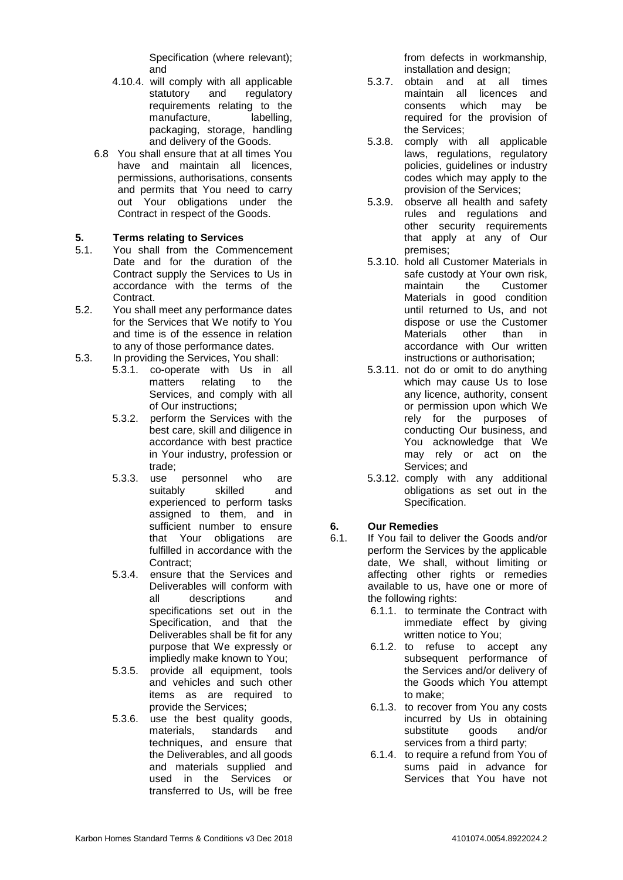Specification (where relevant); and

- 4.10.4. will comply with all applicable statutory and regulatory requirements relating to the manufacture, labelling, packaging, storage, handling and delivery of the Goods.
- 6.8 You shall ensure that at all times You have and maintain all licences, permissions, authorisations, consents and permits that You need to carry out Your obligations under the Contract in respect of the Goods.

## **5. Terms relating to Services**

- 5.1. You shall from the Commencement Date and for the duration of the Contract supply the Services to Us in accordance with the terms of the Contract.
- 5.2. You shall meet any performance dates for the Services that We notify to You and time is of the essence in relation to any of those performance dates.
- 5.3. In providing the Services, You shall:
	- 5.3.1. co-operate with Us in all matters relating to the Services, and comply with all of Our instructions;
	- 5.3.2. perform the Services with the best care, skill and diligence in accordance with best practice in Your industry, profession or trade;
	- 5.3.3. use personnel who are suitably skilled and experienced to perform tasks assigned to them, and in sufficient number to ensure that Your obligations are fulfilled in accordance with the Contract;
	- 5.3.4. ensure that the Services and Deliverables will conform with all descriptions and specifications set out in the Specification, and that the Deliverables shall be fit for any purpose that We expressly or impliedly make known to You;
	- 5.3.5. provide all equipment, tools and vehicles and such other items as are required to provide the Services;
	- 5.3.6. use the best quality goods, materials, standards and techniques, and ensure that the Deliverables, and all goods and materials supplied and used in the Services or transferred to Us, will be free

from defects in workmanship, installation and design;

- 5.3.7. obtain and at all times maintain all licences and consents which may be required for the provision of the Services;
- 5.3.8. comply with all applicable laws, regulations, regulatory policies, guidelines or industry codes which may apply to the provision of the Services;
- 5.3.9. observe all health and safety rules and regulations and other security requirements that apply at any of Our premises;
- 5.3.10. hold all Customer Materials in safe custody at Your own risk, maintain the Customer Materials in good condition until returned to Us, and not dispose or use the Customer Materials other than in accordance with Our written instructions or authorisation;
- 5.3.11. not do or omit to do anything which may cause Us to lose any licence, authority, consent or permission upon which We rely for the purposes of conducting Our business, and You acknowledge that We may rely or act on the Services; and
- 5.3.12. comply with any additional obligations as set out in the Specification.

# <span id="page-3-0"></span>**6. Our Remedies**

- 6.1. If You fail to deliver the Goods and/or perform the Services by the applicable date, We shall, without limiting or affecting other rights or remedies available to us, have one or more of the following rights:
	- 6.1.1. to terminate the Contract with immediate effect by giving written notice to You;
	- 6.1.2. to refuse to accept any subsequent performance of the Services and/or delivery of the Goods which You attempt to make;
	- 6.1.3. to recover from You any costs incurred by Us in obtaining substitute goods and/or services from a third party;
	- 6.1.4. to require a refund from You of sums paid in advance for Services that You have not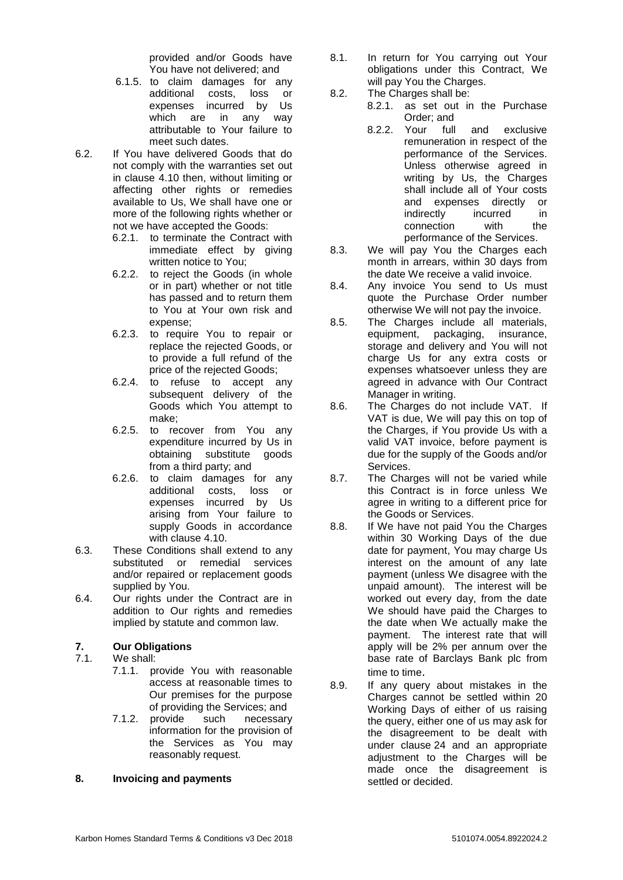provided and/or Goods have You have not delivered; and

- 6.1.5. to claim damages for any additional costs, loss or expenses incurred by Us which are in any way attributable to Your failure to meet such dates.
- 6.2. If You have delivered Goods that do not comply with the warranties set out in clause [4.10](#page-2-1) then, without limiting or affecting other rights or remedies available to Us, We shall have one or more of the following rights whether or not we have accepted the Goods:
	- 6.2.1. to terminate the Contract with immediate effect by giving written notice to You;
	- 6.2.2. to reject the Goods (in whole or in part) whether or not title has passed and to return them to You at Your own risk and expense;
	- 6.2.3. to require You to repair or replace the rejected Goods, or to provide a full refund of the price of the rejected Goods;
	- 6.2.4. to refuse to accept any subsequent delivery of the Goods which You attempt to make;
	- 6.2.5. to recover from You any expenditure incurred by Us in obtaining substitute goods from a third party; and
	- 6.2.6. to claim damages for any additional costs, loss or expenses incurred by Us arising from Your failure to supply Goods in accordance with clause [4.10.](#page-2-1)
- 6.3. These Conditions shall extend to any substituted or remedial services and/or repaired or replacement goods supplied by You.
- 6.4. Our rights under the Contract are in addition to Our rights and remedies implied by statute and common law.

# **7. Our Obligations**

- We shall:
	- 7.1.1. provide You with reasonable access at reasonable times to Our premises for the purpose of providing the Services; and
	- 7.1.2. provide such necessary information for the provision of the Services as You may reasonably request.

## **8. Invoicing and payments**

- 8.1. In return for You carrying out Your obligations under this Contract, We will pay You the Charges.
- 8.2. The Charges shall be:
	- 8.2.1. as set out in the Purchase Order; and
	- 8.2.2. Your full and exclusive remuneration in respect of the performance of the Services. Unless otherwise agreed in writing by Us, the Charges shall include all of Your costs and expenses directly or indirectly incurred in connection with the performance of the Services.
- 8.3. We will pay You the Charges each month in arrears, within 30 days from the date We receive a valid invoice.
- 8.4. Any invoice You send to Us must quote the Purchase Order number otherwise We will not pay the invoice.
- 8.5. The Charges include all materials, equipment, packaging, insurance, storage and delivery and You will not charge Us for any extra costs or expenses whatsoever unless they are agreed in advance with Our Contract Manager in writing.
- 8.6. The Charges do not include VAT. If VAT is due, We will pay this on top of the Charges, if You provide Us with a valid VAT invoice, before payment is due for the supply of the Goods and/or Services.
- 8.7. The Charges will not be varied while this Contract is in force unless We agree in writing to a different price for the Goods or Services.
- 8.8. If We have not paid You the Charges within 30 Working Days of the due date for payment, You may charge Us interest on the amount of any late payment (unless We disagree with the unpaid amount). The interest will be worked out every day, from the date We should have paid the Charges to the date when We actually make the payment. The interest rate that will apply will be 2% per annum over the base rate of Barclays Bank plc from time to time.
- 8.9. If any query about mistakes in the Charges cannot be settled within 20 Working Days of either of us raising the query, either one of us may ask for the disagreement to be dealt with under clause [24](#page-8-0) and an appropriate adjustment to the Charges will be made once the disagreement is settled or decided.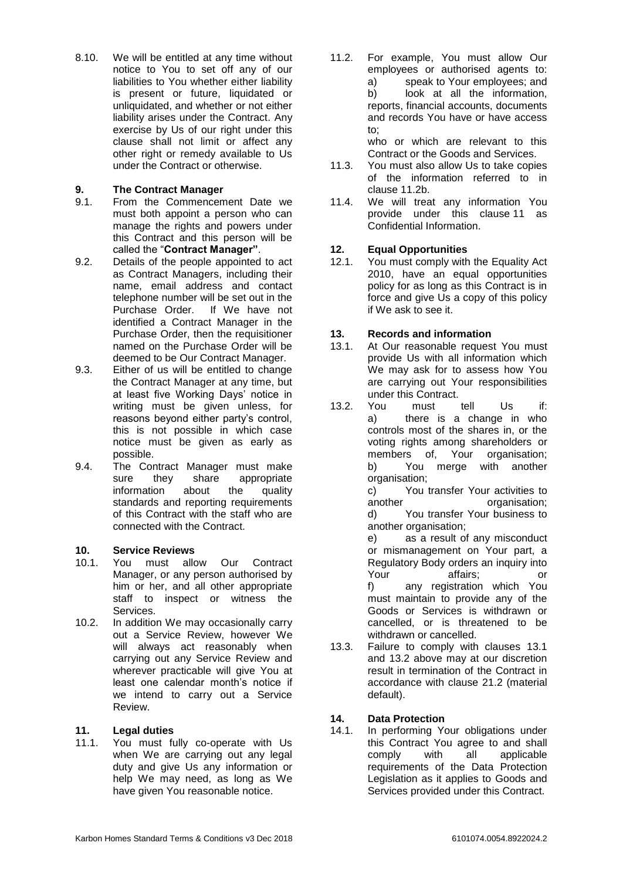8.10. We will be entitled at any time without notice to You to set off any of our liabilities to You whether either liability is present or future, liquidated or unliquidated, and whether or not either liability arises under the Contract. Any exercise by Us of our right under this clause shall not limit or affect any other right or remedy available to Us under the Contract or otherwise.

# **9. The Contract Manager**

- 9.1. From the Commencement Date we must both appoint a person who can manage the rights and powers under this Contract and this person will be called the "**Contract Manager"**.
- 9.2. Details of the people appointed to act as Contract Managers, including their name, email address and contact telephone number will be set out in the Purchase Order. If We have not identified a Contract Manager in the Purchase Order, then the requisitioner named on the Purchase Order will be deemed to be Our Contract Manager.
- 9.3. Either of us will be entitled to change the Contract Manager at any time, but at least five Working Days' notice in writing must be given unless, for reasons beyond either party's control, this is not possible in which case notice must be given as early as possible.
- 9.4. The Contract Manager must make sure they share appropriate information about the quality standards and reporting requirements of this Contract with the staff who are connected with the Contract.

## **10. Service Reviews**

- 10.1. You must allow Our Contract Manager, or any person authorised by him or her, and all other appropriate staff to inspect or witness the Services.
- 10.2. In addition We may occasionally carry out a Service Review, however We will always act reasonably when carrying out any Service Review and wherever practicable will give You at least one calendar month's notice if we intend to carry out a Service Review.

## <span id="page-5-1"></span>**11. Legal duties**

11.1. You must fully co-operate with Us when We are carrying out any legal duty and give Us any information or help We may need, as long as We have given You reasonable notice.

<span id="page-5-0"></span>11.2. For example, You must allow Our employees or authorised agents to: a) speak to Your employees; and b) look at all the information, reports, financial accounts, documents and records You have or have access to;

who or which are relevant to this Contract or the Goods and Services.

- 11.3. You must also allow Us to take copies of the information referred to in clause [11.2b](#page-5-0).
- 11.4. We will treat any information You provide under this clause [11](#page-5-1) as Confidential Information.

# **12. Equal Opportunities**

12.1. You must comply with the Equality Act 2010, have an equal opportunities policy for as long as this Contract is in force and give Us a copy of this policy if We ask to see it.

## **13. Records and information**

- <span id="page-5-2"></span>13.1. At Our reasonable request You must provide Us with all information which We may ask for to assess how You are carrying out Your responsibilities under this Contract.
- <span id="page-5-3"></span>13.2. You must tell Us if: a) there is a change in who controls most of the shares in, or the voting rights among shareholders or members of, Your organisation; b) You merge with another organisation;

c) You transfer Your activities to another **organisation**: d) You transfer Your business to another organisation;

e) as a result of any misconduct or mismanagement on Your part, a Regulatory Body orders an inquiry into Your affairs; or f) any registration which You must maintain to provide any of the Goods or Services is withdrawn or cancelled, or is threatened to be withdrawn or cancelled.

13.3. Failure to comply with clauses [13.1](#page-5-2) and [13.2](#page-5-3) above may at our discretion result in termination of the Contract in accordance with clause [21.2](#page-8-1) (material default).

## <span id="page-5-4"></span>**14. Data Protection**

14.1. In performing Your obligations under this Contract You agree to and shall comply with all applicable requirements of the Data Protection Legislation as it applies to Goods and Services provided under this Contract.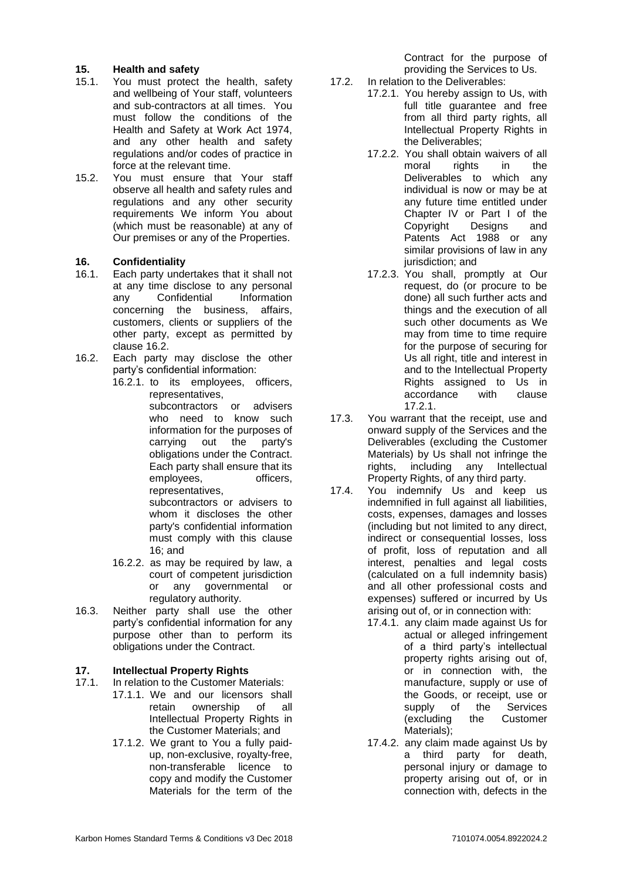## **15. Health and safety**

- 15.1. You must protect the health, safety and wellbeing of Your staff, volunteers and sub-contractors at all times. You must follow the conditions of the Health and Safety at Work Act 1974, and any other health and safety regulations and/or codes of practice in force at the relevant time.
- 15.2. You must ensure that Your staff observe all health and safety rules and regulations and any other security requirements We inform You about (which must be reasonable) at any of Our premises or any of the Properties.

#### <span id="page-6-1"></span>**16. Confidentiality**

- 16.1. Each party undertakes that it shall not at any time disclose to any personal any Confidential Information concerning the business, affairs, customers, clients or suppliers of the other party, except as permitted by clause [16.2.](#page-6-0)
- <span id="page-6-0"></span>16.2. Each party may disclose the other party's confidential information:
	- 16.2.1. to its employees, officers, representatives, subcontractors or advisers who need to know such information for the purposes of carrying out the party's obligations under the Contract. Each party shall ensure that its employees, officers, representatives, subcontractors or advisers to

whom it discloses the other party's confidential information must comply with this clause 16; and

- 16.2.2. as may be required by law, a court of competent jurisdiction or any governmental or regulatory authority.
- 16.3. Neither party shall use the other party's confidential information for any purpose other than to perform its obligations under the Contract.

## **17. Intellectual Property Rights**

- 17.1. In relation to the Customer Materials:
	- 17.1.1. We and our licensors shall retain ownership of all Intellectual Property Rights in the Customer Materials; and
	- 17.1.2. We grant to You a fully paidup, non-exclusive, royalty-free, non-transferable licence to copy and modify the Customer Materials for the term of the

Contract for the purpose of providing the Services to Us.

- 17.2. In relation to the Deliverables:
	- 17.2.1. You hereby assign to Us, with full title quarantee and free from all third party rights, all Intellectual Property Rights in the Deliverables;
		- 17.2.2. You shall obtain waivers of all moral rights in the Deliverables to which any individual is now or may be at any future time entitled under Chapter IV or Part I of the Copyright Designs and Patents Act 1988 or any similar provisions of law in any jurisdiction; and
		- 17.2.3. You shall, promptly at Our request, do (or procure to be done) all such further acts and things and the execution of all such other documents as We may from time to time require for the purpose of securing for Us all right, title and interest in and to the Intellectual Property Rights assigned to Us in accordance with clause 17.2.1.
- 17.3. You warrant that the receipt, use and onward supply of the Services and the Deliverables (excluding the Customer Materials) by Us shall not infringe the rights, including any Intellectual Property Rights, of any third party.
- 17.4. You indemnify Us and keep us indemnified in full against all liabilities, costs, expenses, damages and losses (including but not limited to any direct, indirect or consequential losses, loss of profit, loss of reputation and all interest, penalties and legal costs (calculated on a full indemnity basis) and all other professional costs and expenses) suffered or incurred by Us arising out of, or in connection with:
	- 17.4.1. any claim made against Us for actual or alleged infringement of a third party's intellectual property rights arising out of, or in connection with, the manufacture, supply or use of the Goods, or receipt, use or supply of the Services (excluding the Customer Materials);
	- 17.4.2. any claim made against Us by a third party for death, personal injury or damage to property arising out of, or in connection with, defects in the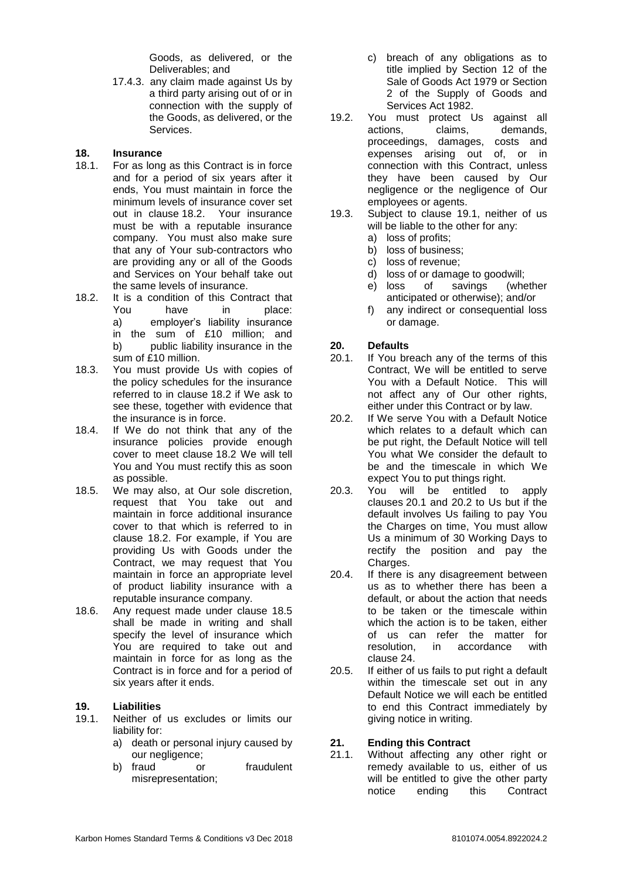Goods, as delivered, or the Deliverables; and

17.4.3. any claim made against Us by a third party arising out of or in connection with the supply of the Goods, as delivered, or the Services.

#### **18. Insurance**

- 18.1. For as long as this Contract is in force and for a period of six years after it ends, You must maintain in force the minimum levels of insurance cover set out in clause [18.2.](#page-7-1) Your insurance must be with a reputable insurance company. You must also make sure that any of Your sub-contractors who are providing any or all of the Goods and Services on Your behalf take out the same levels of insurance.
- <span id="page-7-1"></span>18.2. It is a condition of this Contract that You have in place: a) employer's liability insurance in the sum of £10 million; and b) public liability insurance in the sum of £10 million.
- 18.3. You must provide Us with copies of the policy schedules for the insurance referred to in clause [18.2](#page-7-1) if We ask to see these, together with evidence that the insurance is in force.
- 18.4. If We do not think that any of the insurance policies provide enough cover to meet clause [18.2](#page-7-1) We will tell You and You must rectify this as soon as possible.
- 18.5. We may also, at Our sole discretion, request that You take out and maintain in force additional insurance cover to that which is referred to in clause [18.2.](#page-7-1) For example, if You are providing Us with Goods under the Contract, we may request that You maintain in force an appropriate level of product liability insurance with a reputable insurance company.
- 18.6. Any request made under clause 18.5 shall be made in writing and shall specify the level of insurance which You are required to take out and maintain in force for as long as the Contract is in force and for a period of six years after it ends.

## **19. Liabilities**

- <span id="page-7-2"></span>19.1. Neither of us excludes or limits our liability for:
	- a) death or personal injury caused by our negligence;
	- b) fraud or fraudulent misrepresentation;
- c) breach of any obligations as to title implied by Section 12 of the Sale of Goods Act 1979 or Section 2 of the Supply of Goods and Services Act 1982.
- 19.2. You must protect Us against all actions, claims, demands, proceedings, damages, costs and expenses arising out of, or in connection with this Contract, unless they have been caused by Our negligence or the negligence of Our employees or agents.
- 19.3. Subject to clause [19.1,](#page-7-2) neither of us will be liable to the other for any:
	- a) loss of profits;
	- b) loss of business;
	- c) loss of revenue;
	- d) loss of or damage to goodwill;
	- e) loss of savings (whether anticipated or otherwise); and/or
	- f) any indirect or consequential loss or damage.

## <span id="page-7-5"></span>**20. Defaults**

- <span id="page-7-3"></span>20.1. If You breach any of the terms of this Contract, We will be entitled to serve You with a Default Notice. This will not affect any of Our other rights, either under this Contract or by law.
- <span id="page-7-4"></span>20.2. If We serve You with a Default Notice which relates to a default which can be put right, the Default Notice will tell You what We consider the default to be and the timescale in which We expect You to put things right.
- 20.3. You will be entitled to apply clauses [20.1](#page-7-3) and [20.2](#page-7-4) to Us but if the default involves Us failing to pay You the Charges on time, You must allow Us a minimum of 30 Working Days to rectify the position and pay the Charges.
- 20.4. If there is any disagreement between us as to whether there has been a default, or about the action that needs to be taken or the timescale within which the action is to be taken, either of us can refer the matter for resolution, in accordance with clause [24.](#page-8-0)
- 20.5. If either of us fails to put right a default within the timescale set out in any Default Notice we will each be entitled to end this Contract immediately by giving notice in writing.

## <span id="page-7-0"></span>**21. Ending this Contract**

21.1. Without affecting any other right or remedy available to us, either of us will be entitled to give the other party notice ending this Contract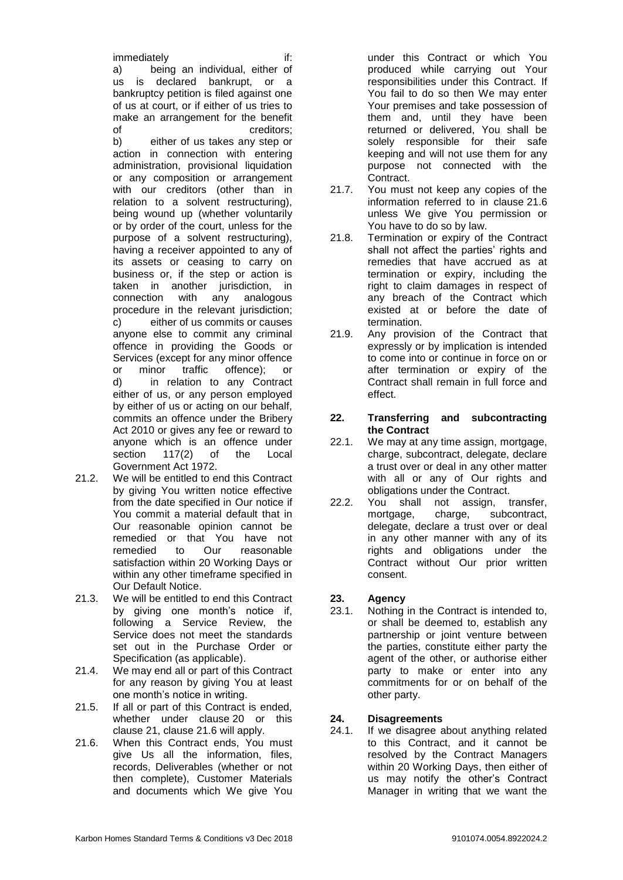immediately if: a) being an individual, either of us is declared bankrupt, or a bankruptcy petition is filed against one of us at court, or if either of us tries to make an arrangement for the benefit of creditors: b) either of us takes any step or action in connection with entering administration, provisional liquidation or any composition or arrangement with our creditors (other than in relation to a solvent restructuring), being wound up (whether voluntarily or by order of the court, unless for the purpose of a solvent restructuring), having a receiver appointed to any of its assets or ceasing to carry on business or, if the step or action is taken in another jurisdiction, in connection with any analogous procedure in the relevant jurisdiction; c) either of us commits or causes anyone else to commit any criminal offence in providing the Goods or Services (except for any minor offence or minor traffic offence); or d) in relation to any Contract either of us, or any person employed by either of us or acting on our behalf, commits an offence under the Bribery Act 2010 or gives any fee or reward to anyone which is an offence under section 117(2) of the Local Government Act 1972.

- <span id="page-8-1"></span>21.2. We will be entitled to end this Contract by giving You written notice effective from the date specified in Our notice if You commit a material default that in Our reasonable opinion cannot be remedied or that You have not remedied to Our reasonable satisfaction within 20 Working Days or within any other timeframe specified in Our Default Notice.
- 21.3. We will be entitled to end this Contract by giving one month's notice if, following a Service Review, the Service does not meet the standards set out in the Purchase Order or Specification (as applicable).
- 21.4. We may end all or part of this Contract for any reason by giving You at least one month's notice in writing.
- 21.5. If all or part of this Contract is ended, whether under clause [20](#page-7-5) or this clause [21,](#page-7-0) clause [21.6](#page-8-2) will apply.
- <span id="page-8-2"></span>21.6. When this Contract ends, You must give Us all the information, files, records, Deliverables (whether or not then complete), Customer Materials and documents which We give You

under this Contract or which You produced while carrying out Your responsibilities under this Contract. If You fail to do so then We may enter Your premises and take possession of them and, until they have been returned or delivered, You shall be solely responsible for their safe keeping and will not use them for any purpose not connected with the Contract.

- 21.7. You must not keep any copies of the information referred to in clause [21.6](#page-8-2) unless We give You permission or You have to do so by law.
- 21.8. Termination or expiry of the Contract shall not affect the parties' rights and remedies that have accrued as at termination or expiry, including the right to claim damages in respect of any breach of the Contract which existed at or before the date of termination.
- 21.9. Any provision of the Contract that expressly or by implication is intended to come into or continue in force on or after termination or expiry of the Contract shall remain in full force and effect.

#### **22. Transferring and subcontracting the Contract**

- 22.1. We may at any time assign, mortgage, charge, subcontract, delegate, declare a trust over or deal in any other matter with all or any of Our rights and obligations under the Contract.
- 22.2. You shall not assign, transfer, mortgage, charge, subcontract, delegate, declare a trust over or deal in any other manner with any of its rights and obligations under the Contract without Our prior written consent.

# **23. Agency**

23.1. Nothing in the Contract is intended to, or shall be deemed to, establish any partnership or joint venture between the parties, constitute either party the agent of the other, or authorise either party to make or enter into any commitments for or on behalf of the other party.

# <span id="page-8-0"></span>**24. Disagreements**

<span id="page-8-3"></span>24.1. If we disagree about anything related to this Contract, and it cannot be resolved by the Contract Managers within 20 Working Days, then either of us may notify the other's Contract Manager in writing that we want the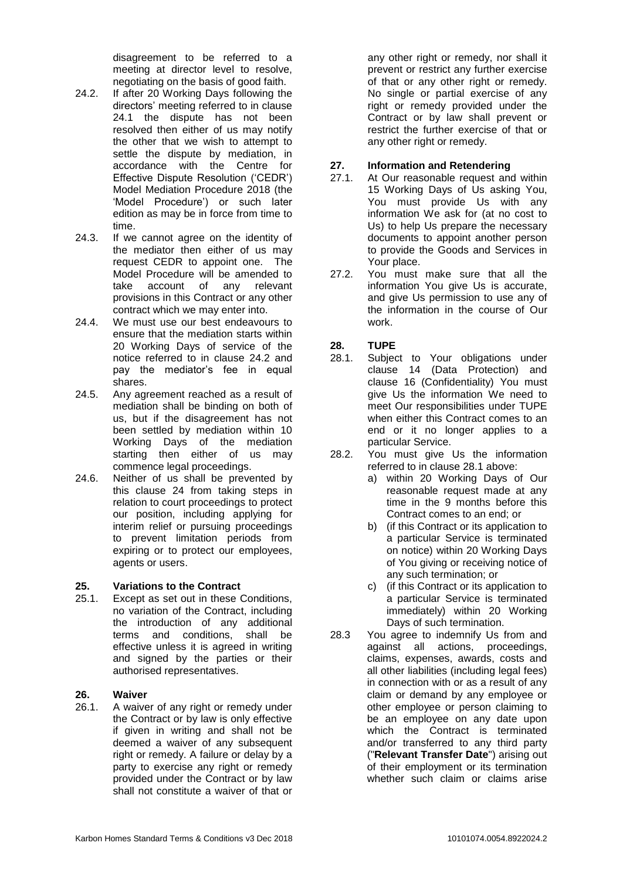disagreement to be referred to a meeting at director level to resolve, negotiating on the basis of good faith.

- <span id="page-9-1"></span>24.2. If after 20 Working Days following the directors' meeting referred to in clause [24.1](#page-8-3) the dispute has not been resolved then either of us may notify the other that we wish to attempt to settle the dispute by mediation, in accordance with the Centre for Effective Dispute Resolution ('CEDR') Model Mediation Procedure 2018 (the 'Model Procedure') or such later edition as may be in force from time to time.
- 24.3. If we cannot agree on the identity of the mediator then either of us may request CEDR to appoint one. The Model Procedure will be amended to take account of any relevant provisions in this Contract or any other contract which we may enter into.
- 24.4. We must use our best endeavours to ensure that the mediation starts within 20 Working Days of service of the notice referred to in clause [24.2](#page-9-1) and pay the mediator's fee in equal shares.
- 24.5. Any agreement reached as a result of mediation shall be binding on both of us, but if the disagreement has not been settled by mediation within 10 Working Days of the mediation starting then either of us may commence legal proceedings.
- 24.6. Neither of us shall be prevented by this clause [24](#page-8-0) from taking steps in relation to court proceedings to protect our position, including applying for interim relief or pursuing proceedings to prevent limitation periods from expiring or to protect our employees, agents or users.

## <span id="page-9-0"></span>**25. Variations to the Contract**

25.1. Except as set out in these Conditions, no variation of the Contract, including the introduction of any additional terms and conditions, shall be effective unless it is agreed in writing and signed by the parties or their authorised representatives.

#### **26. Waiver**

26.1. A waiver of any right or remedy under the Contract or by law is only effective if given in writing and shall not be deemed a waiver of any subsequent right or remedy. A failure or delay by a party to exercise any right or remedy provided under the Contract or by law shall not constitute a waiver of that or any other right or remedy, nor shall it prevent or restrict any further exercise of that or any other right or remedy. No single or partial exercise of any right or remedy provided under the Contract or by law shall prevent or restrict the further exercise of that or any other right or remedy.

# **27. Information and Retendering**

- At Our reasonable request and within 15 Working Days of Us asking You, You must provide Us with any information We ask for (at no cost to Us) to help Us prepare the necessary documents to appoint another person to provide the Goods and Services in Your place.
- 27.2. You must make sure that all the information You give Us is accurate, and give Us permission to use any of the information in the course of Our work.

# **28. TUPE**

- <span id="page-9-2"></span>28.1. Subject to Your obligations under clause [14](#page-5-4) (Data Protection) and clause [16](#page-6-1) (Confidentiality) You must give Us the information We need to meet Our responsibilities under TUPE when either this Contract comes to an end or it no longer applies to a particular Service.
- 28.2. You must give Us the information referred to in clause [28.1](#page-9-2) above:
	- a) within 20 Working Days of Our reasonable request made at any time in the 9 months before this Contract comes to an end; or
	- b) (if this Contract or its application to a particular Service is terminated on notice) within 20 Working Days of You giving or receiving notice of any such termination; or
	- c) (if this Contract or its application to a particular Service is terminated immediately) within 20 Working Days of such termination.
- 28.3 You agree to indemnify Us from and against all actions, proceedings, claims, expenses, awards, costs and all other liabilities (including legal fees) in connection with or as a result of any claim or demand by any employee or other employee or person claiming to be an employee on any date upon which the Contract is terminated and/or transferred to any third party ("**Relevant Transfer Date**") arising out of their employment or its termination whether such claim or claims arise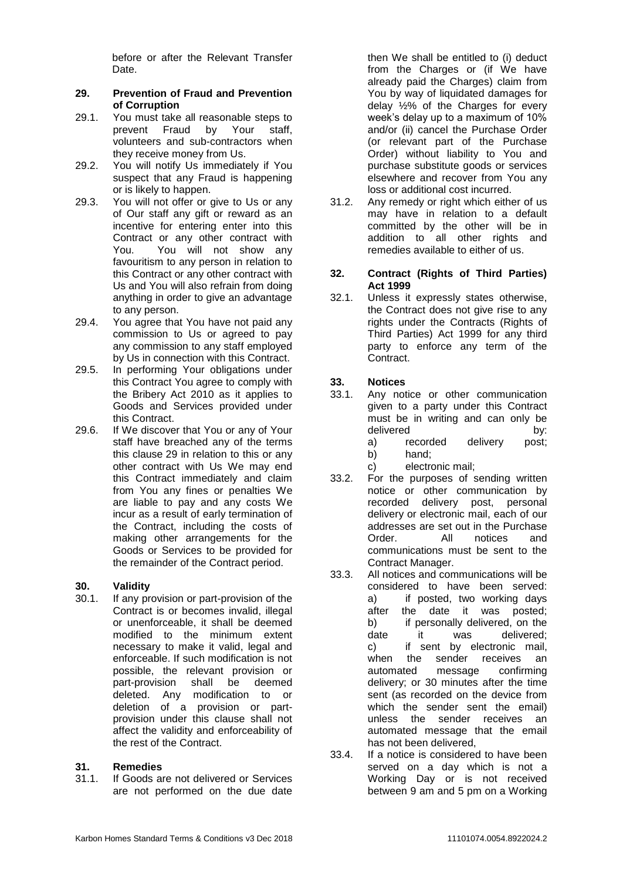before or after the Relevant Transfer Date.

#### <span id="page-10-0"></span>**29. Prevention of Fraud and Prevention of Corruption**

- 29.1. You must take all reasonable steps to prevent Fraud by Your staff, volunteers and sub-contractors when they receive money from Us.
- 29.2. You will notify Us immediately if You suspect that any Fraud is happening or is likely to happen.
- 29.3. You will not offer or give to Us or any of Our staff any gift or reward as an incentive for entering enter into this Contract or any other contract with You. You will not show any favouritism to any person in relation to this Contract or any other contract with Us and You will also refrain from doing anything in order to give an advantage to any person.
- 29.4. You agree that You have not paid any commission to Us or agreed to pay any commission to any staff employed by Us in connection with this Contract.
- 29.5. In performing Your obligations under this Contract You agree to comply with the Bribery Act 2010 as it applies to Goods and Services provided under this Contract.
- 29.6. If We discover that You or any of Your staff have breached any of the terms this clause [29](#page-10-0) in relation to this or any other contract with Us We may end this Contract immediately and claim from You any fines or penalties We are liable to pay and any costs We incur as a result of early termination of the Contract, including the costs of making other arrangements for the Goods or Services to be provided for the remainder of the Contract period.

## **30. Validity**

30.1. If any provision or part-provision of the Contract is or becomes invalid, illegal or unenforceable, it shall be deemed modified to the minimum extent necessary to make it valid, legal and enforceable. If such modification is not possible, the relevant provision or part-provision shall be deemed deleted. Any modification to or deletion of a provision or partprovision under this clause shall not affect the validity and enforceability of the rest of the Contract.

## **31. Remedies**

31.1. If Goods are not delivered or Services are not performed on the due date then We shall be entitled to (i) deduct from the Charges or (if We have already paid the Charges) claim from You by way of liquidated damages for delay ½% of the Charges for every week's delay up to a maximum of 10% and/or (ii) cancel the Purchase Order (or relevant part of the Purchase Order) without liability to You and purchase substitute goods or services elsewhere and recover from You any loss or additional cost incurred.

31.2. Any remedy or right which either of us may have in relation to a default committed by the other will be in addition to all other rights and remedies available to either of us.

#### **32. Contract (Rights of Third Parties) Act 1999**

32.1. Unless it expressly states otherwise, the Contract does not give rise to any rights under the Contracts (Rights of Third Parties) Act 1999 for any third party to enforce any term of the Contract.

## **33. Notices**

- 33.1. Any notice or other communication given to a party under this Contract must be in writing and can only be delivered by: a) recorded delivery post;
	- b) hand;
	- c) electronic mail;
- 33.2. For the purposes of sending written notice or other communication by recorded delivery post, personal delivery or electronic mail, each of our addresses are set out in the Purchase Order. All notices and communications must be sent to the Contract Manager.
- 33.3. All notices and communications will be considered to have been served: a) if posted, two working days after the date it was posted; b) if personally delivered, on the date it was delivered; c) if sent by electronic mail, when the sender receives an automated message confirming delivery; or 30 minutes after the time sent (as recorded on the device from which the sender sent the email) unless the sender receives an automated message that the email has not been delivered,
- 33.4. If a notice is considered to have been served on a day which is not a Working Day or is not received between 9 am and 5 pm on a Working